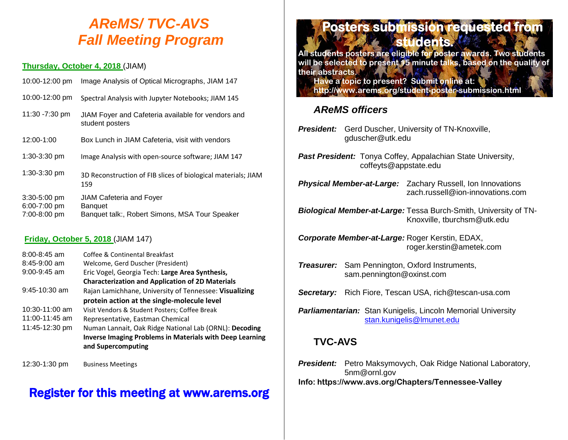## *AReMS/ TVC-AVS Fall Meeting Program*

#### **Thursday, October 4, 2018** (JIAM)

| 10:00-12:00 pm                                   | Image Analysis of Optical Micrographs, JIAM 147                                                     |
|--------------------------------------------------|-----------------------------------------------------------------------------------------------------|
| 10:00-12:00 pm                                   | Spectral Analysis with Jupyter Notebooks; JIAM 145                                                  |
| 11:30 -7:30 pm                                   | JIAM Foyer and Cafeteria available for vendors and<br>student posters                               |
| 12:00-1:00                                       | Box Lunch in JIAM Cafeteria, visit with vendors                                                     |
| $1:30-3:30$ pm                                   | Image Analysis with open-source software; JIAM 147                                                  |
| 1:30-3:30 pm                                     | 3D Reconstruction of FIB slices of biological materials; JIAM<br>159                                |
| $3:30 - 5:00$ pm<br>6:00-7:00 pm<br>7:00-8:00 pm | <b>JIAM Cafeteria and Foyer</b><br><b>Banquet</b><br>Banquet talk:, Robert Simons, MSA Tour Speaker |

#### **Friday, October 5, 2018** (JIAM 147)

| $8:00 - 8:45$ am | Coffee & Continental Breakfast                                  |
|------------------|-----------------------------------------------------------------|
| $8:45-9:00$ am   | Welcome, Gerd Duscher (President)                               |
| $9:00 - 9:45$ am | Eric Vogel, Georgia Tech: Large Area Synthesis,                 |
|                  | <b>Characterization and Application of 2D Materials</b>         |
| $9:45-10:30$ am  | Rajan Lamichhane, University of Tennessee: Visualizing          |
|                  | protein action at the single-molecule level                     |
| $10:30-11:00$ am | Visit Vendors & Student Posters; Coffee Break                   |
| 11:00-11:45 am   | Representative, Eastman Chemical                                |
| 11:45-12:30 pm   | Numan Lannait, Oak Ridge National Lab (ORNL): Decoding          |
|                  | <b>Inverse Imaging Problems in Materials with Deep Learning</b> |
|                  | and Supercomputing                                              |
|                  |                                                                 |

12:30-1:30 pm Business Meetings

## Register for this meeting at www.arems.org

# **Posters submission requested from students. All students.** All students posters are eligible for poster awards. Two students

**will be selected to present 15 minute talks, based on the quality of their abstracts.**

**Have a topic to present? Submit online at: http://www.arems.org/student-poster-submission.html**

#### *AReMS officers*

- *President:* Gerd Duscher, University of TN-Knoxville, gduscher@utk.edu
- **Past President:** Tonya Coffey, Appalachian State University, coffeyts@appstate.edu
- *Physical Member-at-Large:* Zachary Russell, Ion Innovations zach.russell@ion-innovations.com
- *Biological Member-at-Large:* Tessa Burch-Smith, University of TN-Knoxville, tburchsm@utk.edu
- *Corporate Member-at-Large:* Roger Kerstin, EDAX, roger.kerstin@ametek.com
- *Treasurer:* Sam Pennington, Oxford Instruments, sam.pennington@oxinst.com
- *Secretary:* Rich Fiore, Tescan USA, rich@tescan-usa.com
- **Parliamentarian:** Stan Kunigelis, Lincoln Memorial University [stan.kunigelis@lmunet.edu](mailto:stan.kunigelis@lmunet.edu)

### **TVC-AVS**

**President:** Petro Maksymovych, Oak Ridge National Laboratory, 5nm@ornl.gov **Info: https://www.avs.org/Chapters/Tennessee-Valley**